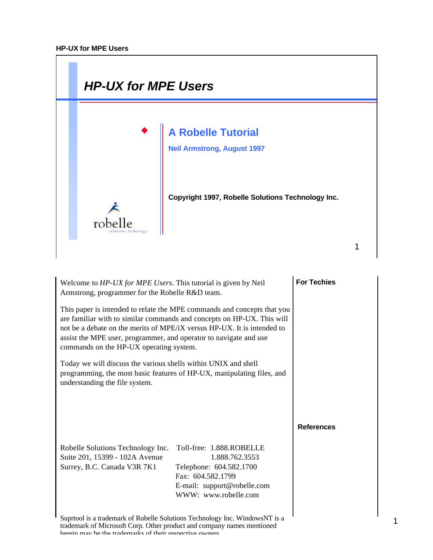

| Welcome to HP-UX for MPE Users. This tutorial is given by Neil<br>Armstrong, programmer for the Robelle R&D team.                                                                                                                                                                                                                            |                                                                                                                                                   | <b>For Techies</b> |
|----------------------------------------------------------------------------------------------------------------------------------------------------------------------------------------------------------------------------------------------------------------------------------------------------------------------------------------------|---------------------------------------------------------------------------------------------------------------------------------------------------|--------------------|
| This paper is intended to relate the MPE commands and concepts that you<br>are familiar with to similar commands and concepts on HP-UX. This will<br>not be a debate on the merits of MPE/iX versus HP-UX. It is intended to<br>assist the MPE user, programmer, and operator to navigate and use<br>commands on the HP-UX operating system. |                                                                                                                                                   |                    |
| Today we will discuss the various shells within UNIX and shell<br>understanding the file system.                                                                                                                                                                                                                                             | programming, the most basic features of HP-UX, manipulating files, and                                                                            |                    |
|                                                                                                                                                                                                                                                                                                                                              |                                                                                                                                                   | <b>References</b>  |
| Robelle Solutions Technology Inc.<br>Suite 201, 15399 - 102A Avenue<br>Surrey, B.C. Canada V3R 7K1                                                                                                                                                                                                                                           | Toll-free: 1.888.ROBELLE<br>1.888.762.3553<br>Telephone: 604.582.1700<br>Fax: 604.582.1799<br>E-mail: support@robelle.com<br>WWW: www.robelle.com |                    |
|                                                                                                                                                                                                                                                                                                                                              | Supremed is a trademark of Robelle Solutions Technology Inc. Windows NT is a                                                                      |                    |

Suprtool is a trademark of Robelle Solutions Technology Inc. WindowsNT is a trademark of Microsoft Corp. Other product and company names mentioned herein may be the trademarks of their respective owners.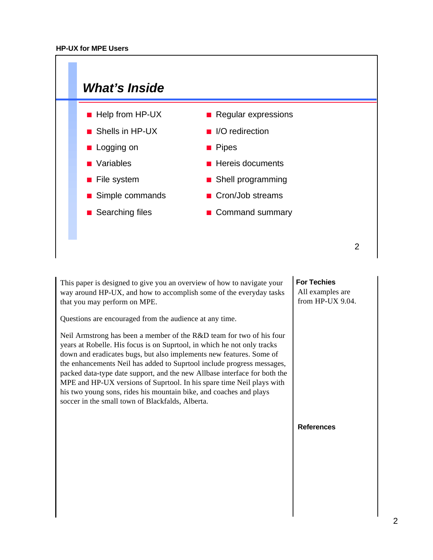

This paper is designed to give you an overview of how to navigate your way around HP-UX, and how to accomplish some of the everyday tasks that you may perform on MPE.

Questions are encouraged from the audience at any time.

Neil Armstrong has been a member of the R&D team for two of his four years at Robelle. His focus is on Suprtool, in which he not only tracks down and eradicates bugs, but also implements new features. Some of the enhancements Neil has added to Suprtool include progress messages, packed data-type date support, and the new Allbase interface for both the MPE and HP-UX versions of Suprtool. In his spare time Neil plays with his two young sons, rides his mountain bike, and coaches and plays soccer in the small town of Blackfalds, Alberta.

**For Techies**

All examples are from HP-UX 9.04.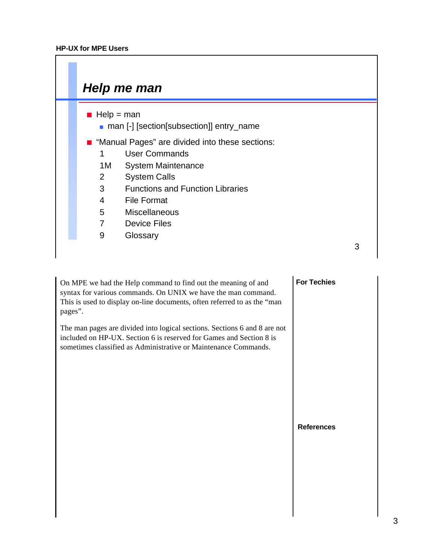

On MPE we had the Help command to find out the meaning of and syntax for various commands. On UNIX we have the man command. This is used to display on-line documents, often referred to as the "man pages".

The man pages are divided into logical sections. Sections 6 and 8 are not included on HP-UX. Section 6 is reserved for Games and Section 8 is sometimes classified as Administrative or Maintenance Commands.

## **For Techies**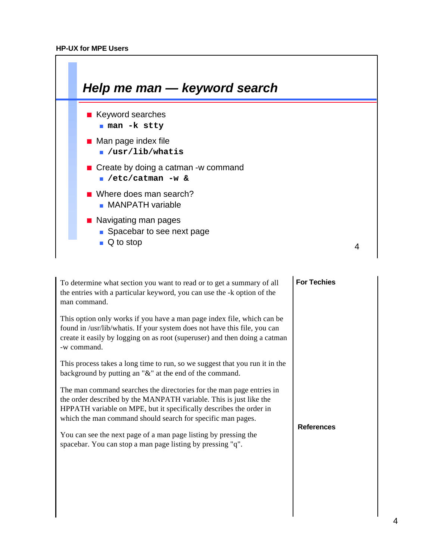

| To determine what section you want to read or to get a summary of all<br>the entries with a particular keyword, you can use the -k option of the<br>man command.                                                                                                                | <b>For Techies</b> |
|---------------------------------------------------------------------------------------------------------------------------------------------------------------------------------------------------------------------------------------------------------------------------------|--------------------|
| This option only works if you have a man page index file, which can be<br>found in /usr/lib/whatis. If your system does not have this file, you can<br>create it easily by logging on as root (superuser) and then doing a catman<br>-w command.                                |                    |
| This process takes a long time to run, so we suggest that you run it in the<br>background by putting an " $\&$ " at the end of the command.                                                                                                                                     |                    |
| The man command searches the directories for the man page entries in<br>the order described by the MANPATH variable. This is just like the<br>HPPATH variable on MPE, but it specifically describes the order in<br>which the man command should search for specific man pages. | <b>References</b>  |
| You can see the next page of a man page listing by pressing the<br>spacebar. You can stop a man page listing by pressing "q".                                                                                                                                                   |                    |
|                                                                                                                                                                                                                                                                                 |                    |
|                                                                                                                                                                                                                                                                                 |                    |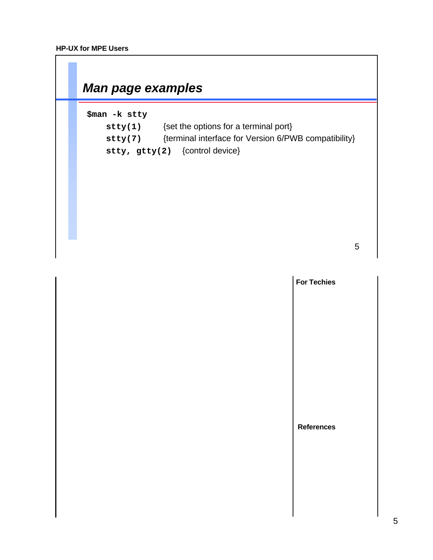$\Gamma$ 

| \$man -k stty      | {set the options for a terminal port}                |
|--------------------|------------------------------------------------------|
| $\mathtt{stty(1)}$ | {terminal interface for Version 6/PWB compatibility} |
| stty(7)            | stty, $gtty(2)$ {control device}                     |
|                    |                                                      |

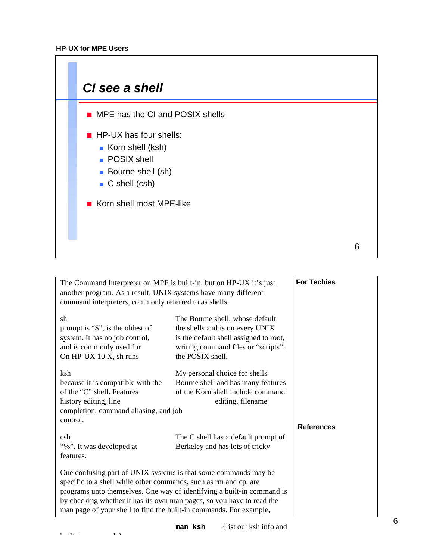built-in commands}



| The Command Interpreter on MPE is built-in, but on HP-UX it's just<br>another program. As a result, UNIX systems have many different<br>command interpreters, commonly referred to as shells.                                                                                                                                                                |                                                                                                                                                                         | <b>For Techies</b> |
|--------------------------------------------------------------------------------------------------------------------------------------------------------------------------------------------------------------------------------------------------------------------------------------------------------------------------------------------------------------|-------------------------------------------------------------------------------------------------------------------------------------------------------------------------|--------------------|
| sh<br>prompt is "\$", is the oldest of<br>system. It has no job control,<br>and is commonly used for<br>On HP-UX 10.X, sh runs                                                                                                                                                                                                                               | The Bourne shell, whose default<br>the shells and is on every UNIX<br>is the default shell assigned to root,<br>writing command files or "scripts".<br>the POSIX shell. |                    |
| ksh<br>because it is compatible with the<br>of the "C" shell. Features<br>history editing, line<br>completion, command aliasing, and job<br>control.                                                                                                                                                                                                         | My personal choice for shells<br>Bourne shell and has many features<br>of the Korn shell include command<br>editing, filename                                           | <b>References</b>  |
| csh<br>"%". It was developed at<br>features.                                                                                                                                                                                                                                                                                                                 | The C shell has a default prompt of<br>Berkeley and has lots of tricky                                                                                                  |                    |
| One confusing part of UNIX systems is that some commands may be<br>specific to a shell while other commands, such as rm and cp, are<br>programs unto themselves. One way of identifying a built-in command is<br>by checking whether it has its own man pages, so you have to read the<br>man page of your shell to find the built-in commands. For example, |                                                                                                                                                                         |                    |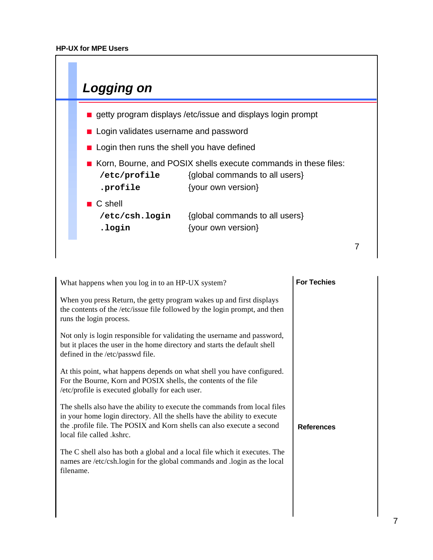

| What happens when you log in to an HP-UX system?                                                                                                                                                                                                             | <b>For Techies</b> |
|--------------------------------------------------------------------------------------------------------------------------------------------------------------------------------------------------------------------------------------------------------------|--------------------|
| When you press Return, the getty program wakes up and first displays<br>the contents of the /etc/issue file followed by the login prompt, and then<br>runs the login process.                                                                                |                    |
| Not only is login responsible for validating the username and password,<br>but it places the user in the home directory and starts the default shell<br>defined in the /etc/passwd file.                                                                     |                    |
| At this point, what happens depends on what shell you have configured.<br>For the Bourne, Korn and POSIX shells, the contents of the file<br>/etc/profile is executed globally for each user.                                                                |                    |
| The shells also have the ability to execute the commands from local files<br>in your home login directory. All the shells have the ability to execute<br>the .profile file. The POSIX and Korn shells can also execute a second<br>local file called .kshrc. | <b>References</b>  |
| The C shell also has both a global and a local file which it executes. The<br>names are /etc/csh.login for the global commands and .login as the local<br>filename.                                                                                          |                    |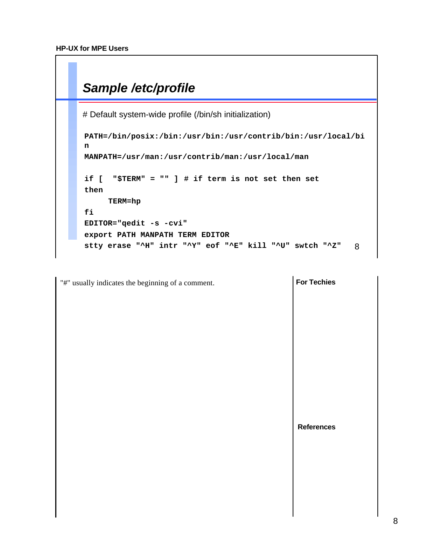

```
For Techies
                                                                        References
"#" usually indicates the beginning of a comment.
```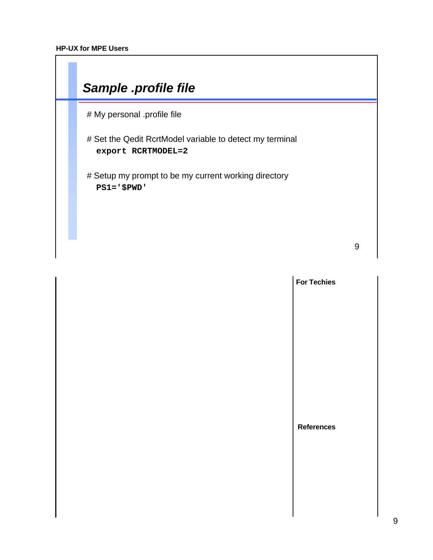

|  | <b>For Techies</b> |
|--|--------------------|
|  |                    |
|  |                    |
|  |                    |
|  |                    |
|  |                    |
|  | <b>References</b>  |
|  |                    |
|  |                    |
|  |                    |
|  |                    |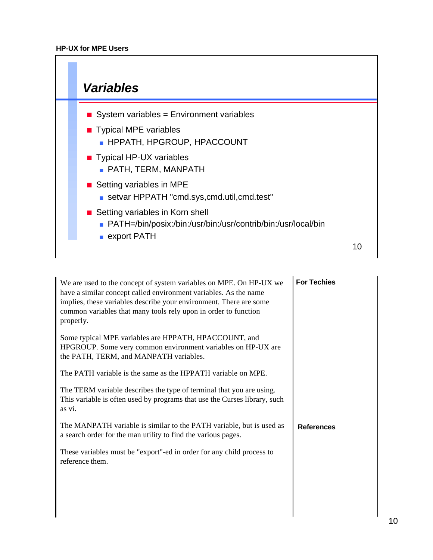

| We are used to the concept of system variables on MPE. On HP-UX we<br>have a similar concept called environment variables. As the name<br>implies, these variables describe your environment. There are some<br>common variables that many tools rely upon in order to function<br>properly. | <b>For Techies</b> |
|----------------------------------------------------------------------------------------------------------------------------------------------------------------------------------------------------------------------------------------------------------------------------------------------|--------------------|
| Some typical MPE variables are HPPATH, HPACCOUNT, and<br>HPGROUP. Some very common environment variables on HP-UX are<br>the PATH, TERM, and MANPATH variables.                                                                                                                              |                    |
| The PATH variable is the same as the HPPATH variable on MPE.                                                                                                                                                                                                                                 |                    |
| The TERM variable describes the type of terminal that you are using.<br>This variable is often used by programs that use the Curses library, such<br>as vi.                                                                                                                                  |                    |
| The MANPATH variable is similar to the PATH variable, but is used as<br>a search order for the man utility to find the various pages.                                                                                                                                                        | <b>References</b>  |
| These variables must be "export"-ed in order for any child process to<br>reference them.                                                                                                                                                                                                     |                    |
|                                                                                                                                                                                                                                                                                              |                    |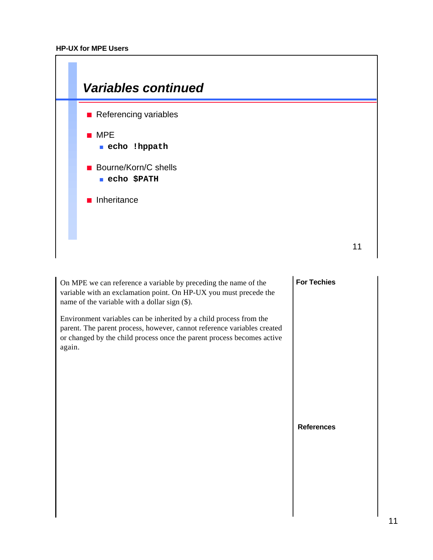

On MPE we can reference a variable by preceding the name of the variable with an exclamation point. On HP-UX you must precede the name of the variable with a dollar sign (\$).

Environment variables can be inherited by a child process from the parent. The parent process, however, cannot reference variables created or changed by the child process once the parent process becomes active again.

## **For Techies**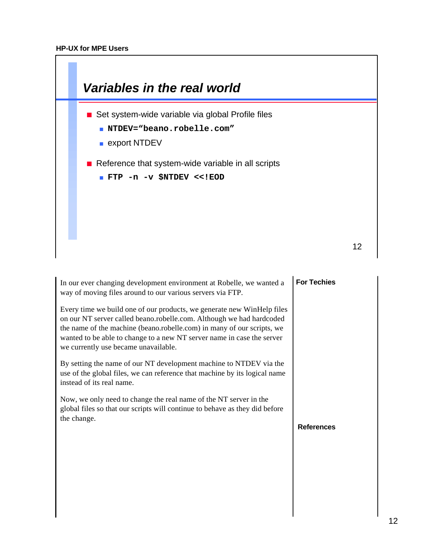I



| In our ever changing development environment at Robelle, we wanted a<br>way of moving files around to our various servers via FTP.                                                                                                                                                                                                         | <b>For Techies</b> |
|--------------------------------------------------------------------------------------------------------------------------------------------------------------------------------------------------------------------------------------------------------------------------------------------------------------------------------------------|--------------------|
| Every time we build one of our products, we generate new WinHelp files<br>on our NT server called beano.robelle.com. Although we had hardcoded<br>the name of the machine (beano.robelle.com) in many of our scripts, we<br>wanted to be able to change to a new NT server name in case the server<br>we currently use became unavailable. |                    |
| By setting the name of our NT development machine to NTDEV via the<br>use of the global files, we can reference that machine by its logical name<br>instead of its real name.                                                                                                                                                              |                    |
| Now, we only need to change the real name of the NT server in the<br>global files so that our scripts will continue to behave as they did before<br>the change.                                                                                                                                                                            |                    |
|                                                                                                                                                                                                                                                                                                                                            | <b>References</b>  |
|                                                                                                                                                                                                                                                                                                                                            |                    |
|                                                                                                                                                                                                                                                                                                                                            |                    |
|                                                                                                                                                                                                                                                                                                                                            |                    |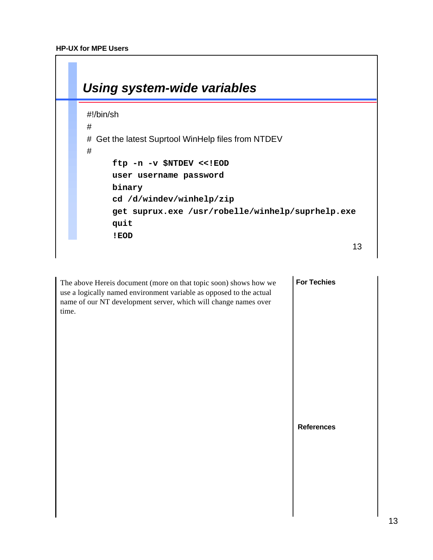

The above Hereis document (more on that topic soon) shows how we use a logically named environment variable as opposed to the actual name of our NT development server, which will change names over time.

**For Techies**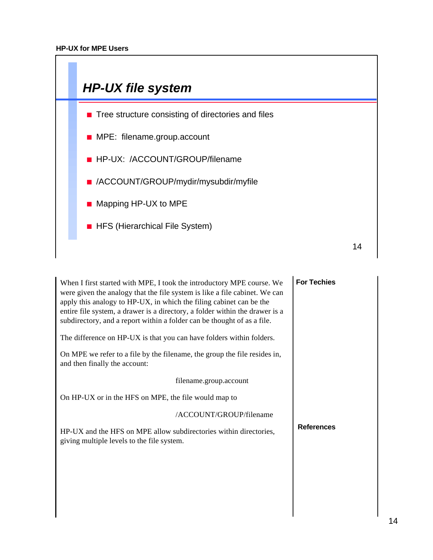

| <b>For Techies</b> |
|--------------------|
|                    |
|                    |
|                    |
|                    |
|                    |
| <b>References</b>  |
|                    |
|                    |
|                    |
|                    |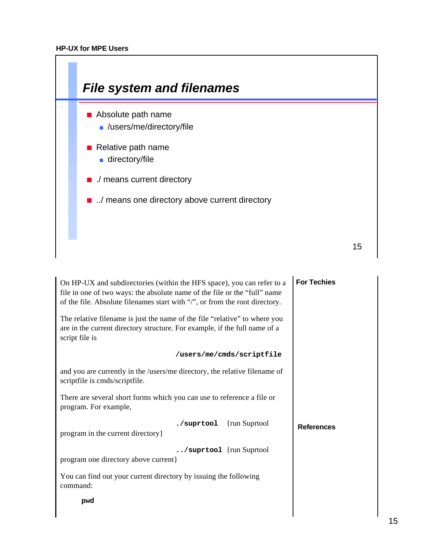

| On HP-UX and subdirectories (within the HFS space), you can refer to a<br>file in one of two ways: the absolute name of the file or the "full" name<br>of the file. Absolute filenames start with "/", or from the root directory. | <b>For Techies</b> |
|------------------------------------------------------------------------------------------------------------------------------------------------------------------------------------------------------------------------------------|--------------------|
| The relative filename is just the name of the file "relative" to where you<br>are in the current directory structure. For example, if the full name of a<br>script file is                                                         |                    |
| /users/me/cmds/scriptfile                                                                                                                                                                                                          |                    |
| and you are currently in the /users/me directory, the relative filename of<br>scriptfile is cmds/scriptfile.                                                                                                                       |                    |
| There are several short forms which you can use to reference a file or<br>program. For example,                                                                                                                                    |                    |
| {run Suprtool}<br>./suprtool<br>program in the current directory }                                                                                                                                                                 | <b>References</b>  |
| /suprtool {run Suprtool<br>program one directory above current}                                                                                                                                                                    |                    |
| You can find out your current directory by issuing the following<br>command:                                                                                                                                                       |                    |
| pwd                                                                                                                                                                                                                                |                    |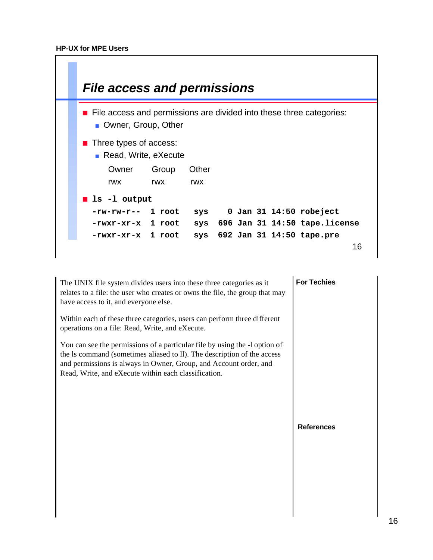

| The UNIX file system divides users into these three categories as it<br>relates to a file: the user who creates or owns the file, the group that may<br>have access to it, and everyone else.                                                                                      | <b>For Techies</b> |
|------------------------------------------------------------------------------------------------------------------------------------------------------------------------------------------------------------------------------------------------------------------------------------|--------------------|
| Within each of these three categories, users can perform three different<br>operations on a file: Read, Write, and eXecute.                                                                                                                                                        |                    |
| You can see the permissions of a particular file by using the -1 option of<br>the Is command (sometimes aliased to II). The description of the access<br>and permissions is always in Owner, Group, and Account order, and<br>Read, Write, and eXecute within each classification. |                    |
|                                                                                                                                                                                                                                                                                    | <b>References</b>  |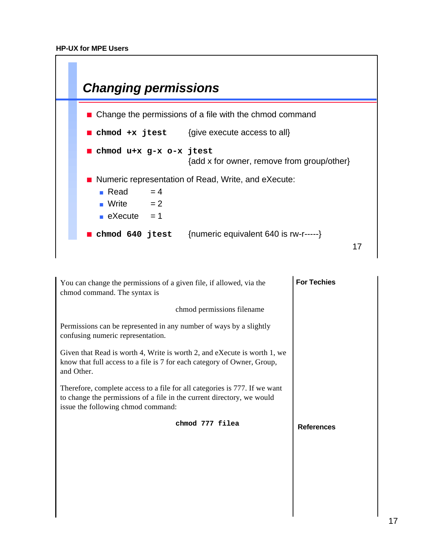

| You can change the permissions of a given file, if allowed, via the<br>chmod command. The syntax is                                                                                        | <b>For Techies</b> |
|--------------------------------------------------------------------------------------------------------------------------------------------------------------------------------------------|--------------------|
| chmod permissions filename                                                                                                                                                                 |                    |
| Permissions can be represented in any number of ways by a slightly<br>confusing numeric representation.                                                                                    |                    |
| Given that Read is worth 4, Write is worth 2, and eXecute is worth 1, we<br>know that full access to a file is 7 for each category of Owner, Group,<br>and Other.                          |                    |
| Therefore, complete access to a file for all categories is 777. If we want<br>to change the permissions of a file in the current directory, we would<br>issue the following chmod command: |                    |
| chmod 777 filea                                                                                                                                                                            | <b>References</b>  |
|                                                                                                                                                                                            |                    |
|                                                                                                                                                                                            |                    |
|                                                                                                                                                                                            |                    |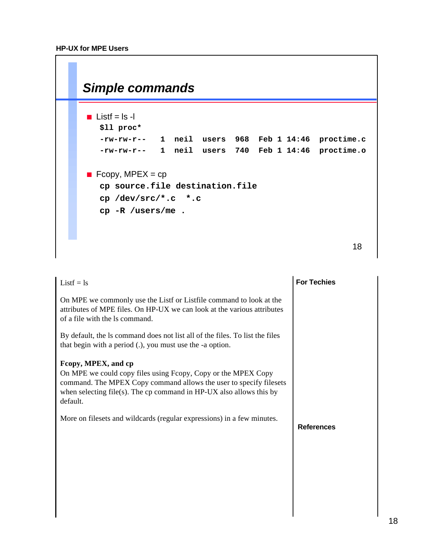| Simple commands                           |  |  |  |            |
|-------------------------------------------|--|--|--|------------|
| <b>Listf</b> = $ s -$                     |  |  |  |            |
| \$11 proc*                                |  |  |  |            |
| $-rw-rw-r--$ 1 neil users 968 Feb 1 14:46 |  |  |  | proctime.c |
| $-rw-rw-r--$ 1 neil users 740 Feb 1 14:46 |  |  |  | proctime.o |
| <b>E</b> Fcopy, MPEX = cp                 |  |  |  |            |
| cp source.file destination.file           |  |  |  |            |
| $cp$ /dev/src/*.c *.c                     |  |  |  |            |
| $cp - R / users/me$ .                     |  |  |  |            |
|                                           |  |  |  |            |
|                                           |  |  |  |            |
|                                           |  |  |  | 18         |

| $Listf = ls$                                                                                                                                                                                                                                    | <b>For Techies</b> |
|-------------------------------------------------------------------------------------------------------------------------------------------------------------------------------------------------------------------------------------------------|--------------------|
| On MPE we commonly use the Listf or Listfile command to look at the<br>attributes of MPE files. On HP-UX we can look at the various attributes<br>of a file with the ls command.                                                                |                    |
| By default, the ls command does not list all of the files. To list the files<br>that begin with a period (.), you must use the -a option.                                                                                                       |                    |
| Fcopy, MPEX, and cp<br>On MPE we could copy files using Fcopy, Copy or the MPEX Copy<br>command. The MPEX Copy command allows the user to specify filesets<br>when selecting file(s). The cp command in $HP-UX$ also allows this by<br>default. |                    |
| More on filesets and wildcards (regular expressions) in a few minutes.                                                                                                                                                                          | <b>References</b>  |
|                                                                                                                                                                                                                                                 |                    |
|                                                                                                                                                                                                                                                 |                    |
|                                                                                                                                                                                                                                                 |                    |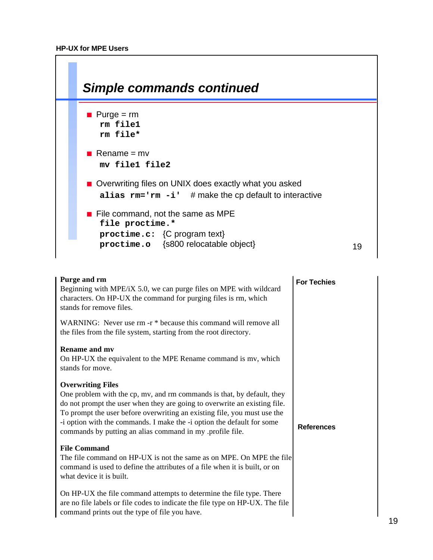

| Purge and rm<br>Beginning with MPE/iX 5.0, we can purge files on MPE with wildcard<br>characters. On HP-UX the command for purging files is rm, which<br>stands for remove files.                                                                                                                                                                                                                 | <b>For Techies</b> |
|---------------------------------------------------------------------------------------------------------------------------------------------------------------------------------------------------------------------------------------------------------------------------------------------------------------------------------------------------------------------------------------------------|--------------------|
| WARNING: Never use rm -r * because this command will remove all<br>the files from the file system, starting from the root directory.                                                                                                                                                                                                                                                              |                    |
| <b>Rename and my</b><br>On HP-UX the equivalent to the MPE Rename command is mv, which<br>stands for move.                                                                                                                                                                                                                                                                                        |                    |
| <b>Overwriting Files</b><br>One problem with the cp, mv, and rm commands is that, by default, they<br>do not prompt the user when they are going to overwrite an existing file.<br>To prompt the user before overwriting an existing file, you must use the<br>-i option with the commands. I make the -i option the default for some<br>commands by putting an alias command in my profile file. | <b>References</b>  |
| <b>File Command</b><br>The file command on HP-UX is not the same as on MPE. On MPE the file<br>command is used to define the attributes of a file when it is built, or on<br>what device it is built.                                                                                                                                                                                             |                    |
| On HP-UX the file command attempts to determine the file type. There<br>are no file labels or file codes to indicate the file type on HP-UX. The file<br>command prints out the type of file you have.                                                                                                                                                                                            |                    |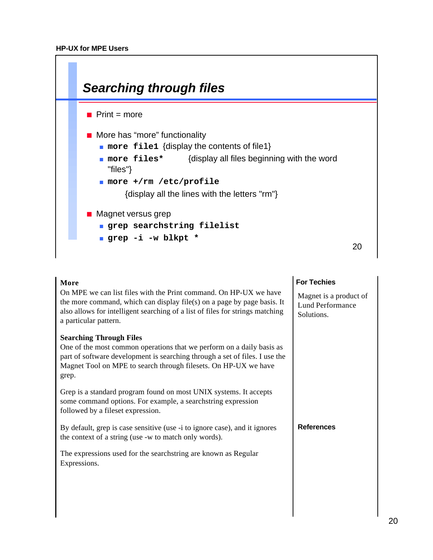

| More                                                                                                                                                                                                                                                   | <b>For Techies</b>                                              |
|--------------------------------------------------------------------------------------------------------------------------------------------------------------------------------------------------------------------------------------------------------|-----------------------------------------------------------------|
| On MPE we can list files with the Print command. On HP-UX we have<br>the more command, which can display file(s) on a page by page basis. It<br>also allows for intelligent searching of a list of files for strings matching<br>a particular pattern. | Magnet is a product of<br><b>Lund Performance</b><br>Solutions. |
| <b>Searching Through Files</b>                                                                                                                                                                                                                         |                                                                 |
| One of the most common operations that we perform on a daily basis as<br>part of software development is searching through a set of files. I use the<br>Magnet Tool on MPE to search through filesets. On HP-UX we have<br>grep.                       |                                                                 |
| Grep is a standard program found on most UNIX systems. It accepts<br>some command options. For example, a searchstring expression<br>followed by a fileset expression.                                                                                 |                                                                 |
| By default, grep is case sensitive (use -i to ignore case), and it ignores<br>the context of a string (use -w to match only words).                                                                                                                    | <b>References</b>                                               |
| The expressions used for the search string are known as Regular<br>Expressions.                                                                                                                                                                        |                                                                 |
|                                                                                                                                                                                                                                                        |                                                                 |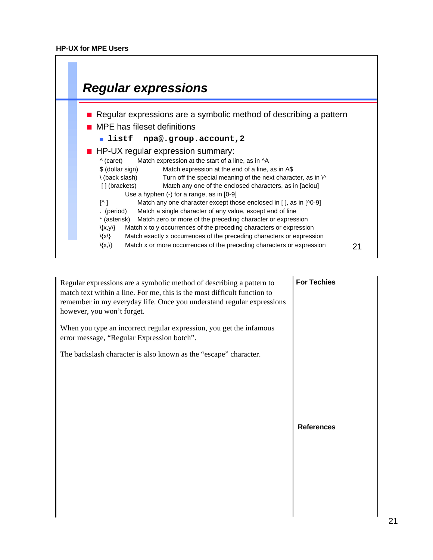

| Regular expressions are a symbolic method of describing a pattern to<br>match text within a line. For me, this is the most difficult function to<br>remember in my everyday life. Once you understand regular expressions<br>however, you won't forget. | <b>For Techies</b> |
|---------------------------------------------------------------------------------------------------------------------------------------------------------------------------------------------------------------------------------------------------------|--------------------|
| When you type an incorrect regular expression, you get the infamous<br>error message, "Regular Expression botch".                                                                                                                                       |                    |
| The backslash character is also known as the "escape" character.                                                                                                                                                                                        | <b>References</b>  |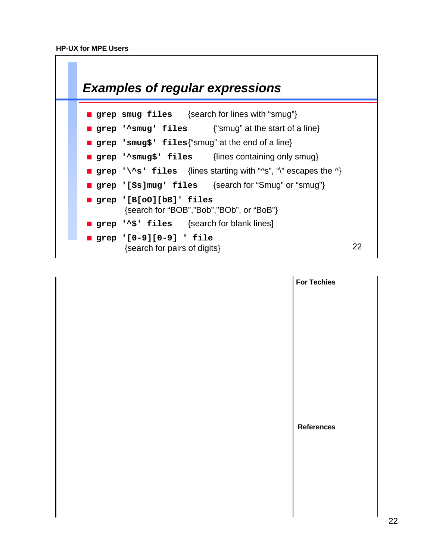

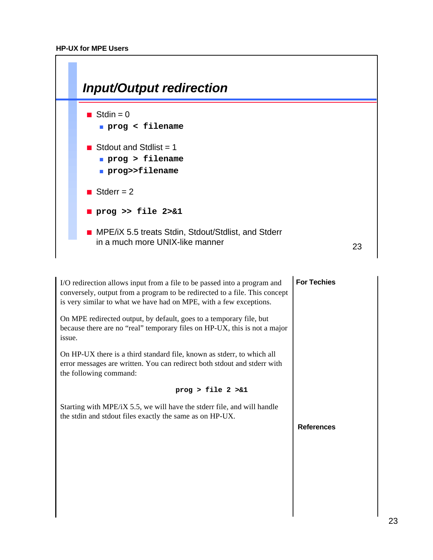

| I/O redirection allows input from a file to be passed into a program and<br>conversely, output from a program to be redirected to a file. This concept<br>is very similar to what we have had on MPE, with a few exceptions. | <b>For Techies</b> |
|------------------------------------------------------------------------------------------------------------------------------------------------------------------------------------------------------------------------------|--------------------|
| On MPE redirected output, by default, goes to a temporary file, but<br>because there are no "real" temporary files on HP-UX, this is not a major<br>issue.                                                                   |                    |
| On HP-UX there is a third standard file, known as stderr, to which all<br>error messages are written. You can redirect both stdout and stderr with<br>the following command:                                                 |                    |
| prog > file $2 > 1$                                                                                                                                                                                                          |                    |
|                                                                                                                                                                                                                              |                    |
| Starting with MPE/iX 5.5, we will have the stderr file, and will handle<br>the stdin and stdout files exactly the same as on HP-UX.                                                                                          |                    |
|                                                                                                                                                                                                                              | <b>References</b>  |
|                                                                                                                                                                                                                              |                    |
|                                                                                                                                                                                                                              |                    |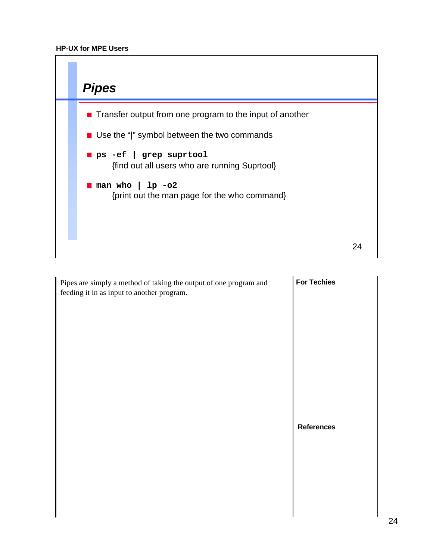

| Pipes are simply a method of taking the output of one program and<br>feeding it in as input to another program. | <b>For Techies</b> |
|-----------------------------------------------------------------------------------------------------------------|--------------------|
|                                                                                                                 | <b>References</b>  |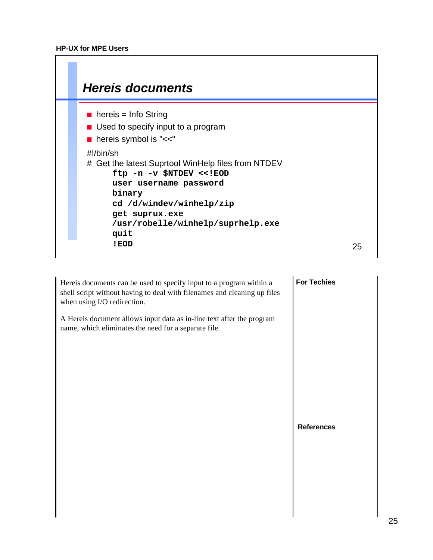

| Hereis documents can be used to specify input to a program within a<br>shell script without having to deal with filenames and cleaning up files<br>when using I/O redirection. | <b>For Techies</b> |
|--------------------------------------------------------------------------------------------------------------------------------------------------------------------------------|--------------------|
| A Hereis document allows input data as in-line text after the program<br>name, which eliminates the need for a separate file.                                                  |                    |
|                                                                                                                                                                                |                    |
|                                                                                                                                                                                |                    |
|                                                                                                                                                                                | <b>References</b>  |
|                                                                                                                                                                                |                    |
|                                                                                                                                                                                |                    |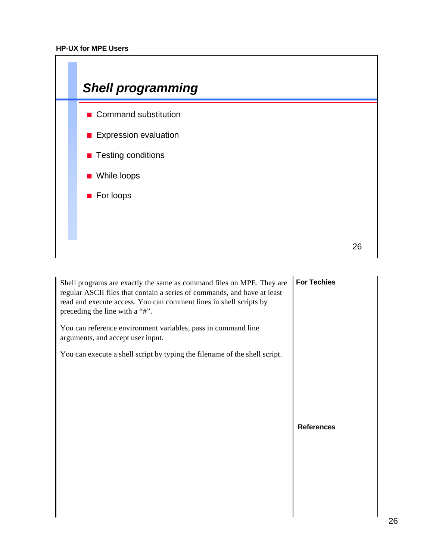

| Shell programs are exactly the same as command files on MPE. They are<br>regular ASCII files that contain a series of commands, and have at least<br>read and execute access. You can comment lines in shell scripts by<br>preceding the line with a "#".<br>You can reference environment variables, pass in command line<br>arguments, and accept user input. | <b>For Techies</b> |
|-----------------------------------------------------------------------------------------------------------------------------------------------------------------------------------------------------------------------------------------------------------------------------------------------------------------------------------------------------------------|--------------------|
| You can execute a shell script by typing the filename of the shell script.                                                                                                                                                                                                                                                                                      |                    |
|                                                                                                                                                                                                                                                                                                                                                                 | <b>References</b>  |
|                                                                                                                                                                                                                                                                                                                                                                 |                    |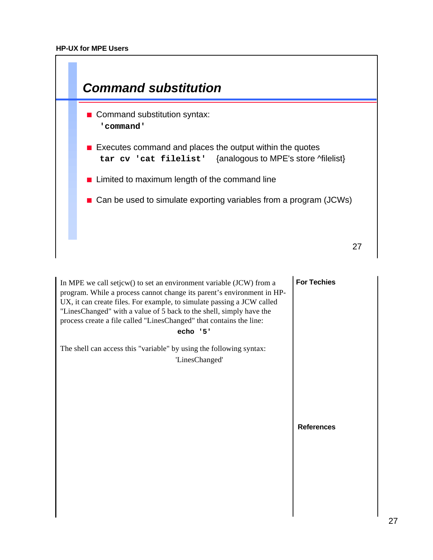

| In MPE we call setjcw() to set an environment variable (JCW) from a<br>program. While a process cannot change its parent's environment in HP-<br>UX, it can create files. For example, to simulate passing a JCW called<br>"LinesChanged" with a value of 5 back to the shell, simply have the<br>process create a file called "LinesChanged" that contains the line:<br>echo '5' | <b>For Techies</b> |
|-----------------------------------------------------------------------------------------------------------------------------------------------------------------------------------------------------------------------------------------------------------------------------------------------------------------------------------------------------------------------------------|--------------------|
| The shell can access this "variable" by using the following syntax:<br>'LinesChanged'                                                                                                                                                                                                                                                                                             |                    |
|                                                                                                                                                                                                                                                                                                                                                                                   | <b>References</b>  |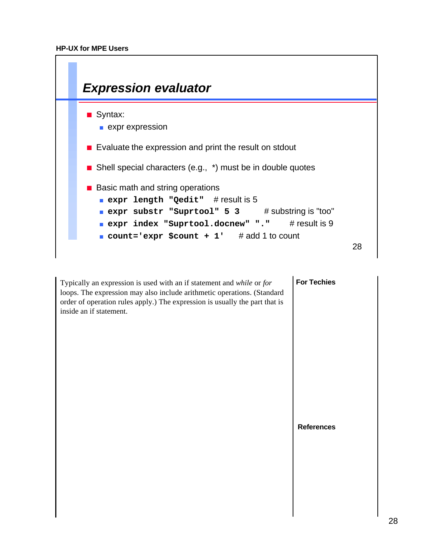

Typically an expression is used with an if statement and *while* or *for* loops. The expression may also include arithmetic operations. (Standard order of operation rules apply.) The expression is usually the part that is inside an if statement.

**For Techies**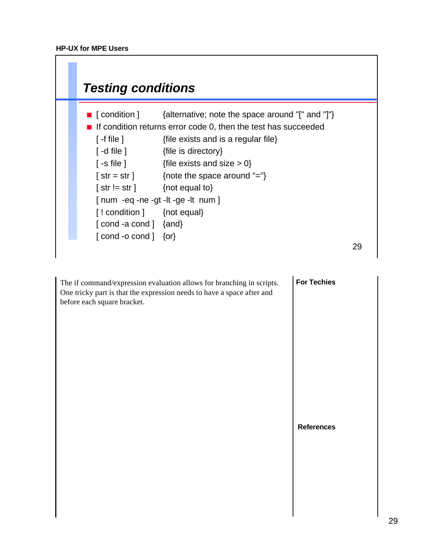

The if command/expression evaluation allows for branching in scripts. One tricky part is that the expression needs to have a space after and before each square bracket.

**For Techies**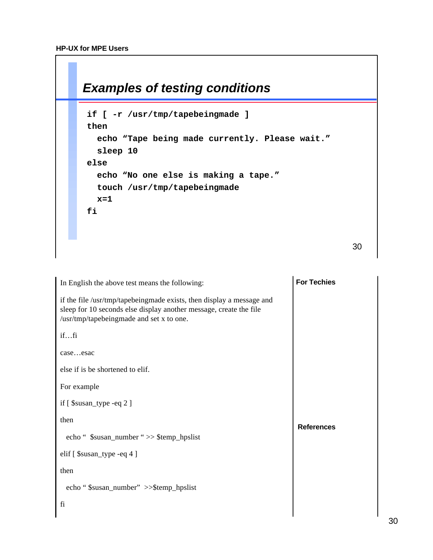

| In English the above test means the following:                                                                                                                                          | <b>For Techies</b> |
|-----------------------------------------------------------------------------------------------------------------------------------------------------------------------------------------|--------------------|
| if the file /usr/tmp/tapebeingmade exists, then display a message and<br>sleep for 10 seconds else display another message, create the file<br>/usr/tmp/tapebeingmade and set x to one. |                    |
| iffi                                                                                                                                                                                    |                    |
| caseesac                                                                                                                                                                                |                    |
| else if is be shortened to elif.                                                                                                                                                        |                    |
| For example                                                                                                                                                                             |                    |
| if $[$ \$susan_type -eq 2 $]$                                                                                                                                                           |                    |
| then                                                                                                                                                                                    | <b>References</b>  |
| echo " \$susan_number ">> \$temp_hpslist                                                                                                                                                |                    |
| elif [ \$susan_type -eq 4 ]                                                                                                                                                             |                    |
| then                                                                                                                                                                                    |                    |
| echo "\$susan_number" >>\$temp_hpslist                                                                                                                                                  |                    |
| fi                                                                                                                                                                                      |                    |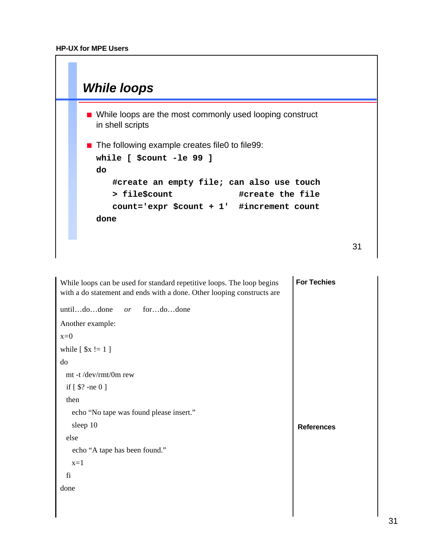

| While loops can be used for standard repetitive loops. The loop begins<br>with a do statement and ends with a done. Other looping constructs are | <b>For Techies</b> |
|--------------------------------------------------------------------------------------------------------------------------------------------------|--------------------|
| untildodone<br>fordodone<br>or                                                                                                                   |                    |
| Another example:                                                                                                                                 |                    |
| $x=0$                                                                                                                                            |                    |
| while $[sx := 1]$                                                                                                                                |                    |
| do                                                                                                                                               |                    |
| mt -t /dev/rmt/0m rew                                                                                                                            |                    |
| if $[$ \$? -ne 0 ]                                                                                                                               |                    |
| then                                                                                                                                             |                    |
| echo "No tape was found please insert."                                                                                                          |                    |
| sleep 10                                                                                                                                         | <b>References</b>  |
| else                                                                                                                                             |                    |
| echo "A tape has been found."                                                                                                                    |                    |
| $x=1$                                                                                                                                            |                    |
| fi                                                                                                                                               |                    |
| done                                                                                                                                             |                    |
|                                                                                                                                                  |                    |
|                                                                                                                                                  |                    |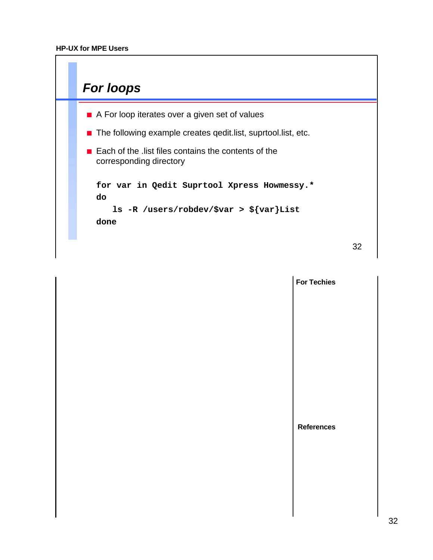

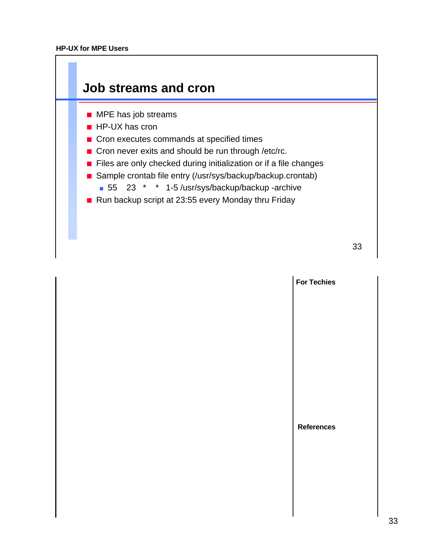

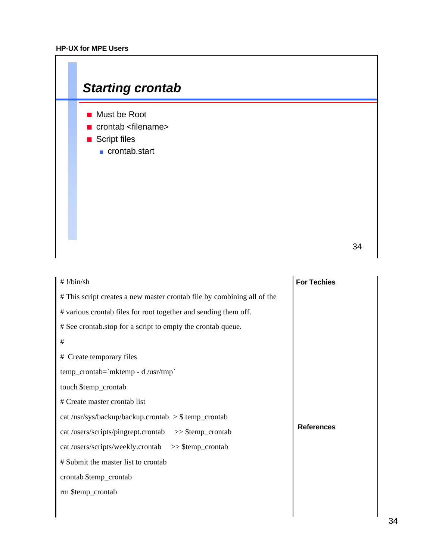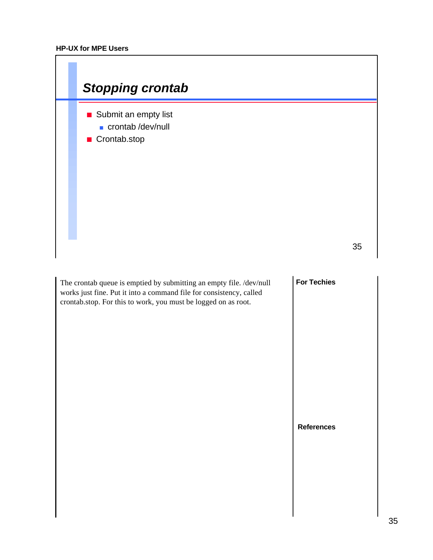| <b>Stopping crontab</b>                                                                                                                                                                                      |                    |
|--------------------------------------------------------------------------------------------------------------------------------------------------------------------------------------------------------------|--------------------|
| Submit an empty list<br>crontab/dev/null<br>■ Crontab.stop                                                                                                                                                   |                    |
|                                                                                                                                                                                                              | 35                 |
| The crontab queue is emptied by submitting an empty file. /dev/null<br>works just fine. Put it into a command file for consistency, called<br>crontab.stop. For this to work, you must be logged on as root. | <b>For Techies</b> |
|                                                                                                                                                                                                              | <b>References</b>  |